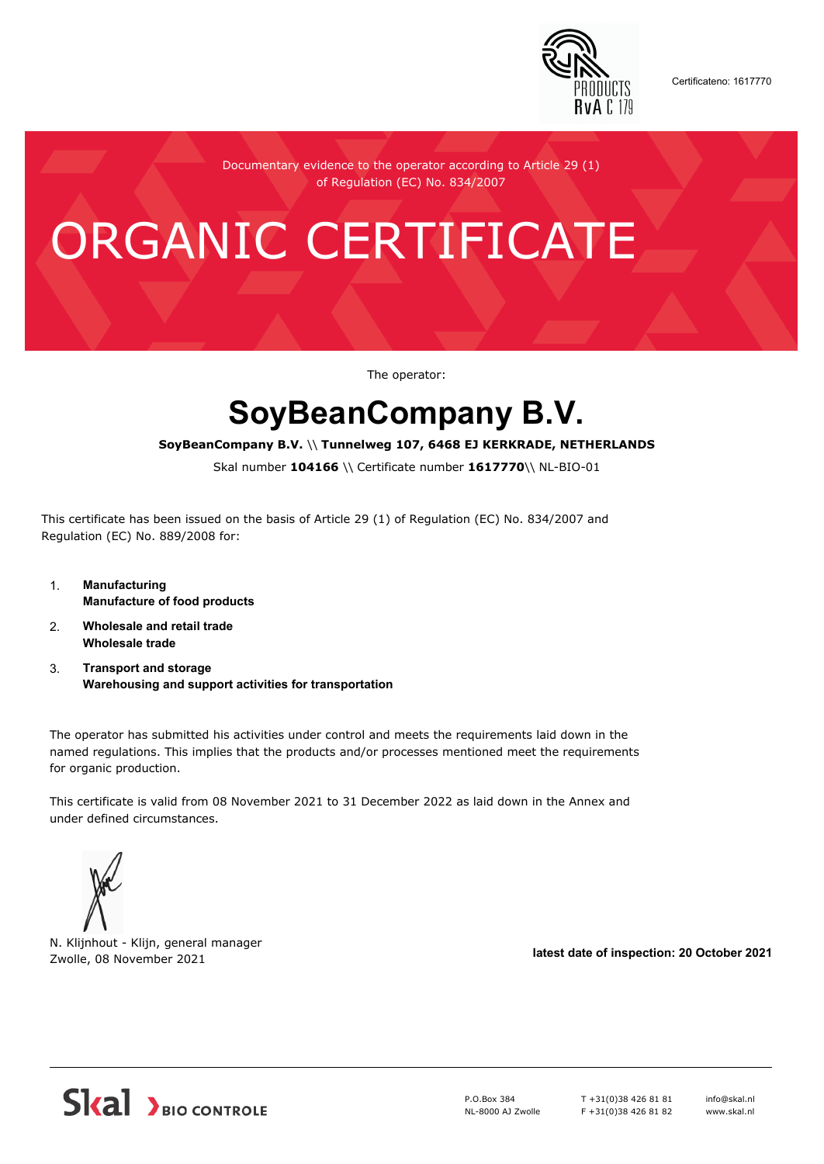

Certificateno: 1617770

Documentary evidence to the operator according to Article 29 (1) of Regulation (EC) No. 834/2007

# ORGANIC CERTIFICATE

The operator:

## **SoyBeanCompany B.V.**

#### **SoyBeanCompany B.V.** \\ **Tunnelweg 107, 6468 EJ KERKRADE, NETHERLANDS**

Skal number **104166** \\ Certificate number **1617770**\\ NL-BIO-01

This certificate has been issued on the basis of Article 29 (1) of Regulation (EC) No. 834/2007 and Regulation (EC) No. 889/2008 for:

- 1. **Manufacturing Manufacture of food products**
- 2. **Wholesale and retail trade Wholesale trade**
- 3. **Transport and storage Warehousing and support activities for transportation**

The operator has submitted his activities under control and meets the requirements laid down in the named regulations. This implies that the products and/or processes mentioned meet the requirements for organic production.

This certificate is valid from 08 November 2021 to 31 December 2022 as laid down in the Annex and under defined circumstances.



N. Klijnhout - Klijn, general manager Zwolle, 08 November 2021 **latest date of inspection: 20 October 2021**



P.O.Box 384 NL-8000 AJ Zwolle T +31(0)38 426 81 81 F +31(0)38 426 81 82